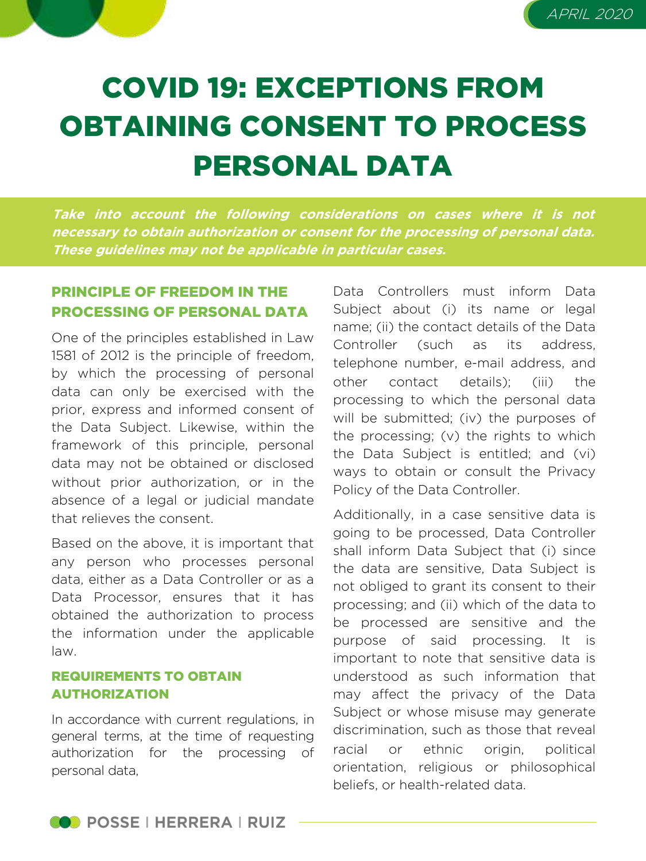



# COVID 19: EXCEPTIONS FROM OBTAINING CONSENT TO PROCESS PERSONAL DATA

**Take into account the following considerations on cases where it is not necessary to obtain authorization or consent for the processing of personal data. These guidelines may not be applicable in particular cases.**

## PRINCIPLE OF FREEDOM IN THE PROCESSING OF PERSONAL DATA

One of the principles established in Law 1581 of 2012 is the principle of freedom, by which the processing of personal data can only be exercised with the prior, express and informed consent of the Data Subject. Likewise, within the framework of this principle, personal data may not be obtained or disclosed without prior authorization, or in the absence of a legal or judicial mandate that relieves the consent.

Based on the above, it is important that any person who processes personal data, either as a Data Controller or as a Data Processor, ensures that it has obtained the authorization to process the information under the applicable law.

#### REQUIREMENTS TO OBTAIN AUTHORIZATION

In accordance with current regulations, in general terms, at the time of requesting authorization for the processing of personal data,

Data Controllers must inform Data Subject about (i) its name or legal name; (ii) the contact details of the Data Controller (such as its address, telephone number, e-mail address, and other contact details); (iii) the processing to which the personal data will be submitted; (iv) the purposes of the processing; (v) the rights to which the Data Subject is entitled; and (vi) ways to obtain or consult the Privacy Policy of the Data Controller.

Additionally, in a case sensitive data is going to be processed, Data Controller shall inform Data Subject that (i) since the data are sensitive, Data Subject is not obliged to grant its consent to their processing; and (ii) which of the data to be processed are sensitive and the purpose of said processing. It is important to note that sensitive data is understood as such information that may affect the privacy of the Data Subject or whose misuse may generate discrimination, such as those that reveal racial or ethnic origin, political orientation, religious or philosophical beliefs, or health-related data.